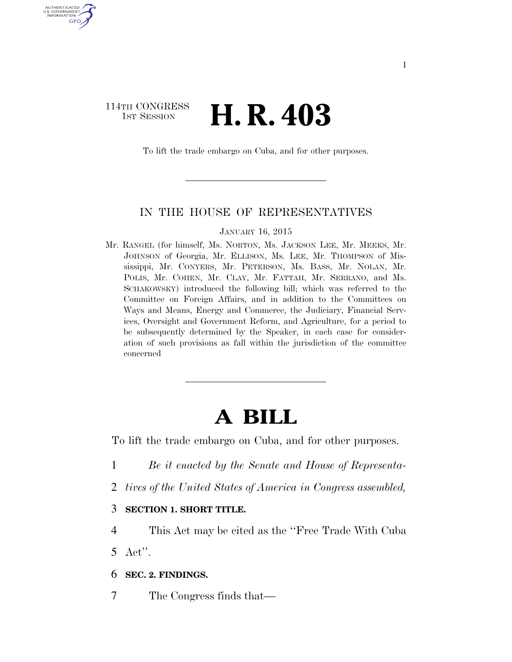### 114TH CONGRESS **1st Session H. R. 403**

U.S. GOVERNMENT GPO

To lift the trade embargo on Cuba, and for other purposes.

#### IN THE HOUSE OF REPRESENTATIVES

JANUARY 16, 2015

Mr. RANGEL (for himself, Ms. NORTON, Ms. JACKSON LEE, Mr. MEEKS, Mr. JOHNSON of Georgia, Mr. ELLISON, Ms. LEE, Mr. THOMPSON of Mississippi, Mr. CONYERS, Mr. PETERSON, Ms. BASS, Mr. NOLAN, Mr. POLIS, Mr. COHEN, Mr. CLAY, Mr. FATTAH, Mr. SERRANO, and Ms. SCHAKOWSKY) introduced the following bill; which was referred to the Committee on Foreign Affairs, and in addition to the Committees on Ways and Means, Energy and Commerce, the Judiciary, Financial Services, Oversight and Government Reform, and Agriculture, for a period to be subsequently determined by the Speaker, in each case for consideration of such provisions as fall within the jurisdiction of the committee concerned

# **A BILL**

To lift the trade embargo on Cuba, and for other purposes.

- 1 *Be it enacted by the Senate and House of Representa-*
- 2 *tives of the United States of America in Congress assembled,*

### 3 **SECTION 1. SHORT TITLE.**

4 This Act may be cited as the ''Free Trade With Cuba

5 Act''.

### 6 **SEC. 2. FINDINGS.**

7 The Congress finds that—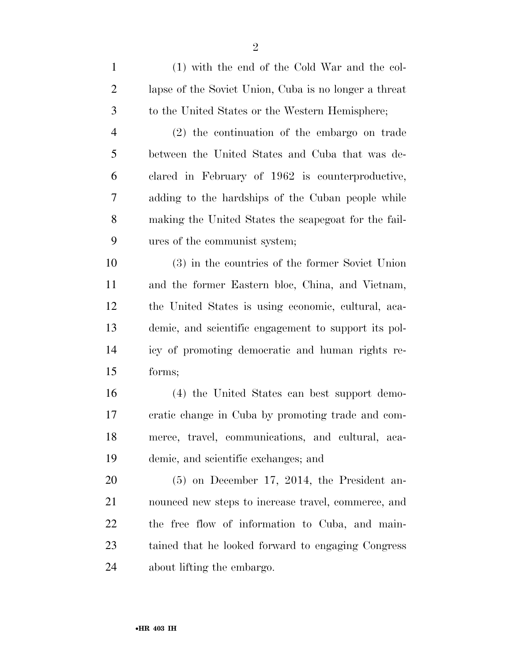(1) with the end of the Cold War and the col- lapse of the Soviet Union, Cuba is no longer a threat to the United States or the Western Hemisphere; (2) the continuation of the embargo on trade between the United States and Cuba that was de- clared in February of 1962 is counterproductive, adding to the hardships of the Cuban people while making the United States the scapegoat for the fail- ures of the communist system; (3) in the countries of the former Soviet Union and the former Eastern bloc, China, and Vietnam, the United States is using economic, cultural, aca- demic, and scientific engagement to support its pol- icy of promoting democratic and human rights re- forms; (4) the United States can best support demo- cratic change in Cuba by promoting trade and com- merce, travel, communications, and cultural, aca-demic, and scientific exchanges; and

 (5) on December 17, 2014, the President an- nounced new steps to increase travel, commerce, and the free flow of information to Cuba, and main- tained that he looked forward to engaging Congress about lifting the embargo.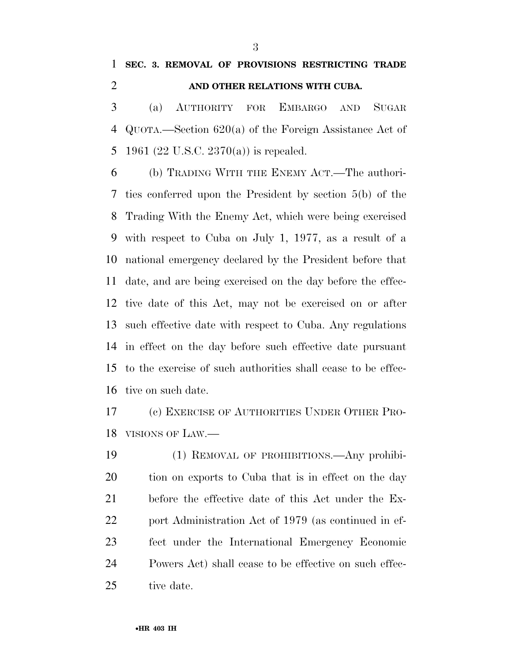## **SEC. 3. REMOVAL OF PROVISIONS RESTRICTING TRADE AND OTHER RELATIONS WITH CUBA.**

 (a) AUTHORITY FOR EMBARGO AND SUGAR QUOTA.—Section 620(a) of the Foreign Assistance Act of 1961 (22 U.S.C. 2370(a)) is repealed.

 (b) TRADING WITH THE ENEMY ACT.—The authori- ties conferred upon the President by section 5(b) of the Trading With the Enemy Act, which were being exercised with respect to Cuba on July 1, 1977, as a result of a national emergency declared by the President before that date, and are being exercised on the day before the effec- tive date of this Act, may not be exercised on or after such effective date with respect to Cuba. Any regulations in effect on the day before such effective date pursuant to the exercise of such authorities shall cease to be effec-tive on such date.

 (c) EXERCISE OF AUTHORITIES UNDER OTHER PRO-VISIONS OF LAW.—

 (1) REMOVAL OF PROHIBITIONS.—Any prohibi- tion on exports to Cuba that is in effect on the day before the effective date of this Act under the Ex-22 port Administration Act of 1979 (as continued in ef- fect under the International Emergency Economic Powers Act) shall cease to be effective on such effec-tive date.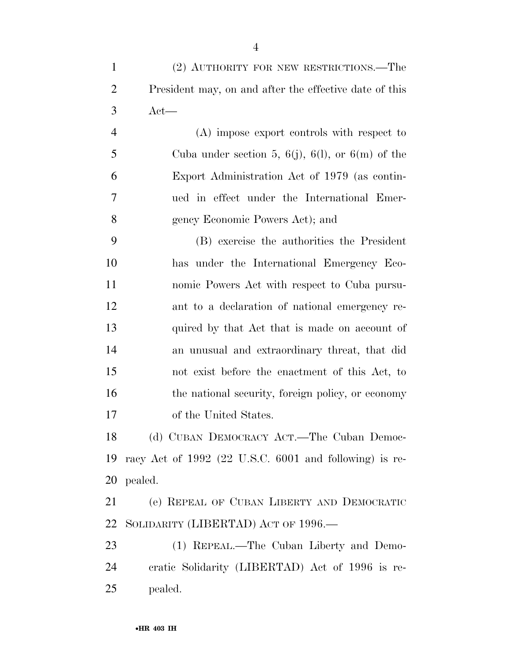(2) AUTHORITY FOR NEW RESTRICTIONS.—The President may, on and after the effective date of this Act—

 (A) impose export controls with respect to 5 Cuba under section 5,  $6(j)$ ,  $6(l)$ , or  $6(m)$  of the Export Administration Act of 1979 (as contin- ued in effect under the International Emer-gency Economic Powers Act); and

 (B) exercise the authorities the President has under the International Emergency Eco- nomic Powers Act with respect to Cuba pursu- ant to a declaration of national emergency re- quired by that Act that is made on account of an unusual and extraordinary threat, that did not exist before the enactment of this Act, to 16 the national security, foreign policy, or economy of the United States.

 (d) CUBAN DEMOCRACY ACT.—The Cuban Democ- racy Act of 1992 (22 U.S.C. 6001 and following) is re-pealed.

 (e) REPEAL OF CUBAN LIBERTY AND DEMOCRATIC SOLIDARITY (LIBERTAD) ACT OF 1996.—

 (1) REPEAL.—The Cuban Liberty and Demo- cratic Solidarity (LIBERTAD) Act of 1996 is re-pealed.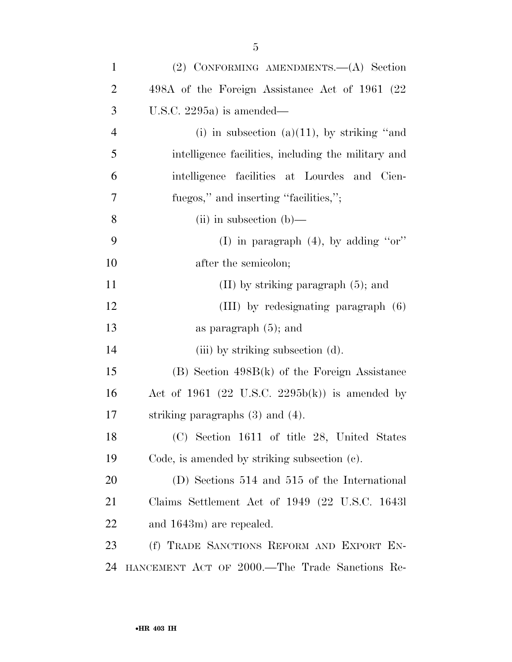| $\mathbf{1}$   | (2) CONFORMING AMENDMENTS. - (A) Section            |
|----------------|-----------------------------------------------------|
| $\overline{2}$ | 498A of the Foreign Assistance Act of 1961 (22)     |
| 3              | U.S.C. 2295a) is amended—                           |
| $\overline{4}$ | (i) in subsection (a)(11), by striking "and         |
| 5              | intelligence facilities, including the military and |
| 6              | intelligence facilities at Lourdes and Cien-        |
| 7              | fuegos," and inserting "facilities,";               |
| 8              | $(ii)$ in subsection $(b)$ —                        |
| 9              | (I) in paragraph $(4)$ , by adding "or"             |
| 10             | after the semicolon;                                |
| 11             | $(II)$ by striking paragraph $(5)$ ; and            |
| 12             | $(III)$ by redesignating paragraph $(6)$            |
| 13             | as paragraph $(5)$ ; and                            |
| 14             | (iii) by striking subsection (d).                   |
| 15             | $(B)$ Section 498B $(k)$ of the Foreign Assistance  |
| 16             | Act of 1961 (22 U.S.C. 2295b(k)) is amended by      |
| 17             | striking paragraphs $(3)$ and $(4)$ .               |
| 18             | (C) Section 1611 of title 28, United States         |
| 19             | Code, is amended by striking subsection (c).        |
| 20             | (D) Sections 514 and 515 of the International       |
| 21             | Claims Settlement Act of 1949 (22 U.S.C. 1643)      |
| 22             | and 1643m) are repealed.                            |
| 23             | (f) TRADE SANCTIONS REFORM AND EXPORT EN-           |
| 24             | HANCEMENT ACT OF 2000.—The Trade Sanctions Re-      |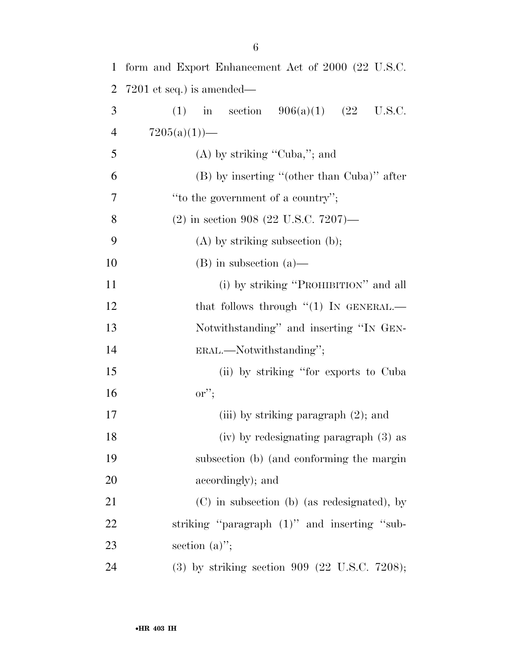| $\mathbf{1}$   | form and Export Enhancement Act of 2000 (22 U.S.C.         |
|----------------|------------------------------------------------------------|
| $\overline{2}$ | $7201$ et seq.) is amended—                                |
| 3              | in section $906(a)(1)$ $(22 \text{ U.S.C.})$<br>(1)        |
| $\overline{4}$ | $7205(a)(1)$ —                                             |
| 5              | $(A)$ by striking "Cuba,"; and                             |
| 6              | $(B)$ by inserting "(other than Cuba)" after               |
| 7              | "to the government of a country";                          |
| 8              | $(2)$ in section 908 (22 U.S.C. 7207)—                     |
| 9              | $(A)$ by striking subsection $(b)$ ;                       |
| 10             | $(B)$ in subsection $(a)$ —                                |
| 11             | (i) by striking "PROHIBITION" and all                      |
| 12             | that follows through $\lq(1)$ In GENERAL.—                 |
| 13             | Notwithstanding" and inserting "IN GEN-                    |
| 14             | ERAL.—Notwithstanding";                                    |
| 15             | (ii) by striking "for exports to Cuba"                     |
| 16             | $\mathrm{or}''$                                            |
| 17             | (iii) by striking paragraph $(2)$ ; and                    |
| 18             | (iv) by redesignating paragraph (3) as                     |
| 19             | subsection (b) (and conforming the margin                  |
| 20             | accordingly); and                                          |
| 21             | (C) in subsection (b) (as redesignated), by                |
| 22             | striking "paragraph (1)" and inserting "sub-               |
| 23             | section $(a)$ ";                                           |
| 24             | $(3)$ by striking section 909 $(22 \text{ U.S.C. } 7208);$ |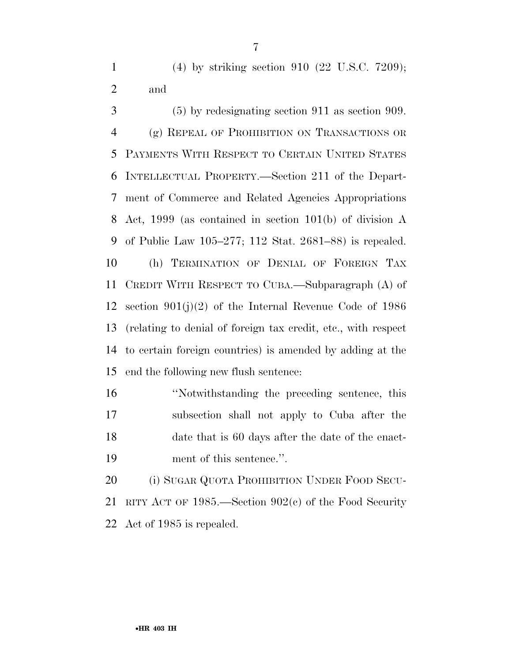(4) by striking section 910 (22 U.S.C. 7209); and

 (5) by redesignating section 911 as section 909. (g) REPEAL OF PROHIBITION ON TRANSACTIONS OR PAYMENTS WITH RESPECT TO CERTAIN UNITED STATES INTELLECTUAL PROPERTY.—Section 211 of the Depart- ment of Commerce and Related Agencies Appropriations Act, 1999 (as contained in section 101(b) of division A of Public Law 105–277; 112 Stat. 2681–88) is repealed. (h) TERMINATION OF DENIAL OF FOREIGN TAX CREDIT WITH RESPECT TO CUBA.—Subparagraph (A) of section 901(j)(2) of the Internal Revenue Code of 1986 (relating to denial of foreign tax credit, etc., with respect to certain foreign countries) is amended by adding at the end the following new flush sentence:

 ''Notwithstanding the preceding sentence, this subsection shall not apply to Cuba after the date that is 60 days after the date of the enact-ment of this sentence.''.

20 (i) SUGAR QUOTA PROHIBITION UNDER FOOD SECU- RITY ACT OF 1985.—Section 902(c) of the Food Security Act of 1985 is repealed.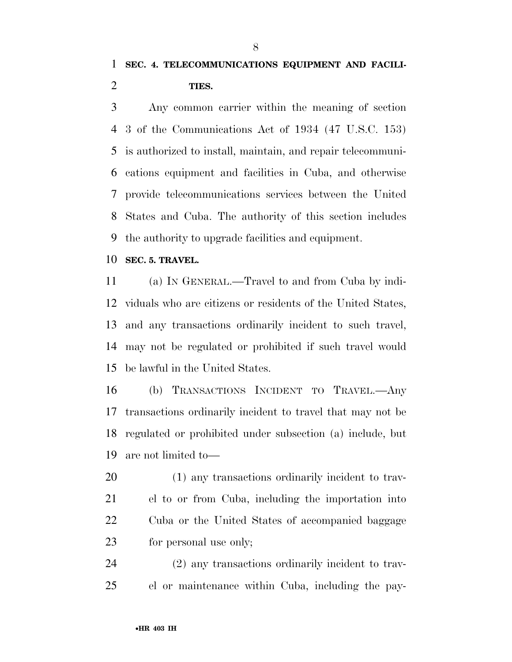## **SEC. 4. TELECOMMUNICATIONS EQUIPMENT AND FACILI-TIES.**

 Any common carrier within the meaning of section 3 of the Communications Act of 1934 (47 U.S.C. 153) is authorized to install, maintain, and repair telecommuni- cations equipment and facilities in Cuba, and otherwise provide telecommunications services between the United States and Cuba. The authority of this section includes the authority to upgrade facilities and equipment.

### **SEC. 5. TRAVEL.**

 (a) IN GENERAL.—Travel to and from Cuba by indi- viduals who are citizens or residents of the United States, and any transactions ordinarily incident to such travel, may not be regulated or prohibited if such travel would be lawful in the United States.

 (b) TRANSACTIONS INCIDENT TO TRAVEL.—Any transactions ordinarily incident to travel that may not be regulated or prohibited under subsection (a) include, but are not limited to—

 (1) any transactions ordinarily incident to trav- el to or from Cuba, including the importation into Cuba or the United States of accompanied baggage for personal use only;

 (2) any transactions ordinarily incident to trav-el or maintenance within Cuba, including the pay-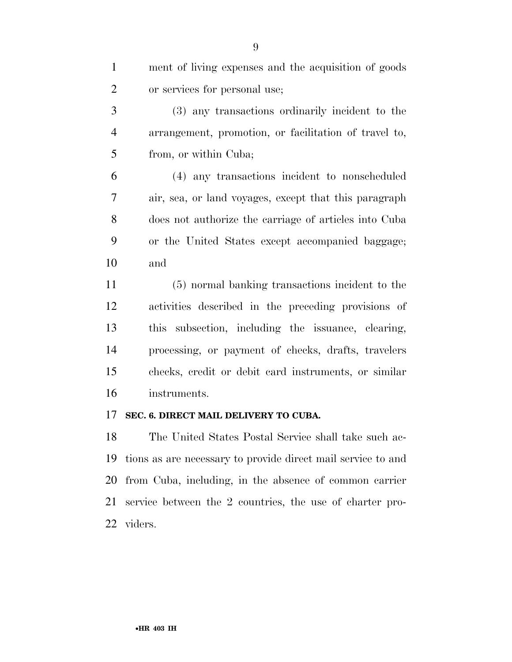| $\mathbf{1}$   | ment of living expenses and the acquisition of goods         |
|----------------|--------------------------------------------------------------|
| $\overline{2}$ | or services for personal use;                                |
| 3              | (3) any transactions ordinarily incident to the              |
| $\overline{4}$ | arrangement, promotion, or facilitation of travel to,        |
| 5              | from, or within Cuba;                                        |
| 6              | (4) any transactions incident to nonscheduled                |
| $\overline{7}$ | air, sea, or land voyages, except that this paragraph        |
| 8              | does not authorize the carriage of articles into Cuba        |
| 9              | or the United States except accompanied baggage;             |
| 10             | and                                                          |
| 11             | (5) normal banking transactions incident to the              |
| 12             | activities described in the preceding provisions of          |
| 13             | this subsection, including the issuance, clearing,           |
| 14             | processing, or payment of checks, drafts, travelers          |
| 15             | checks, credit or debit card instruments, or similar         |
| 16             | instruments.                                                 |
| 17             | SEC. 6. DIRECT MAIL DELIVERY TO CUBA.                        |
| 18             | The United States Postal Service shall take such ac-         |
| 19             | tions as are necessary to provide direct mail service to and |
|                |                                                              |

 from Cuba, including, in the absence of common carrier service between the 2 countries, the use of charter pro-viders.